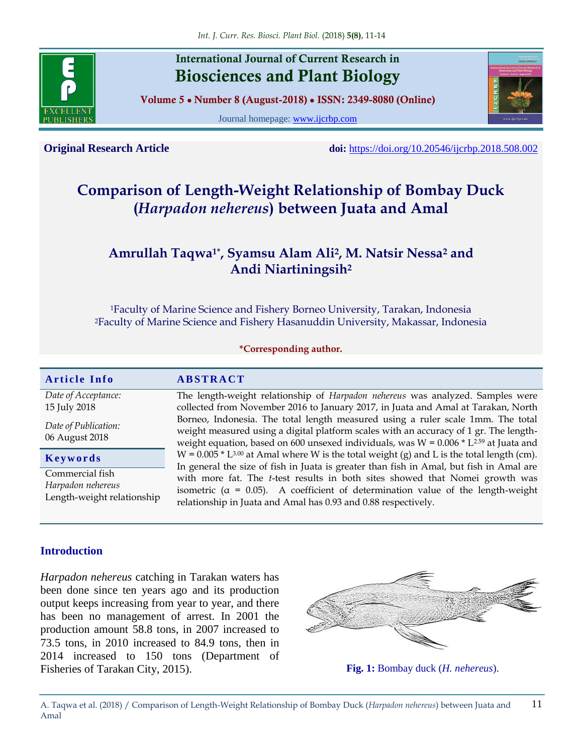

# **International Journal of Current Research in Biosciences and Plant Biology**

**Volume 5 ● Number 8 (August-2018) ● ISSN: 2349-8080 (Online)**

Journal homepage: [www.ijcrbp.com](http://www.ijcrbp.com/)



**Original Research Article doi:** <https://doi.org/10.20546/ijcrbp.2018.508.002>

# **Comparison of Length-Weight Relationship of Bombay Duck (***Harpadon nehereus***) between Juata and Amal**

# **Amrullah Taqwa1\* , Syamsu Alam Ali<sup>2</sup> , M. Natsir Nessa<sup>2</sup> and Andi Niartiningsih<sup>2</sup>**

<sup>1</sup>Faculty of Marine Science and Fishery Borneo University, Tarakan, Indonesia <sup>2</sup>Faculty of Marine Science and Fishery Hasanuddin University, Makassar, Indonesia

#### **\*Corresponding author.**

| <b>Article Info</b>                                                | <b>ABSTRACT</b>                                                                                                                                                                                                                                                        |
|--------------------------------------------------------------------|------------------------------------------------------------------------------------------------------------------------------------------------------------------------------------------------------------------------------------------------------------------------|
| Date of Acceptance:<br>15 July 2018                                | The length-weight relationship of Harpadon nehereus was analyzed. Samples were<br>collected from November 2016 to January 2017, in Juata and Amal at Tarakan, North                                                                                                    |
| Date of Publication:<br>06 August 2018                             | Borneo, Indonesia. The total length measured using a ruler scale 1mm. The total<br>weight measured using a digital platform scales with an accuracy of 1 gr. The length-<br>weight equation, based on 600 unsexed individuals, was $W = 0.006 * L^{2.59}$ at Juata and |
| Keywords                                                           | $W = 0.005 * L^{3.00}$ at Amal where W is the total weight (g) and L is the total length (cm).<br>In general the size of fish in Juata is greater than fish in Amal, but fish in Amal are                                                                              |
| Commercial fish<br>Harpadon nehereus<br>Length-weight relationship | with more fat. The t-test results in both sites showed that Nomei growth was<br>isometric ( $\alpha$ = 0.05). A coefficient of determination value of the length-weight<br>relationship in Juata and Amal has 0.93 and 0.88 respectively.                              |

#### **Introduction**

*Harpadon nehereus* catching in Tarakan waters has been done since ten years ago and its production output keeps increasing from year to year, and there has been no management of arrest. In 2001 the production amount 58.8 tons, in 2007 increased to 73.5 tons, in 2010 increased to 84.9 tons, then in 2014 increased to 150 tons (Department of Fisheries of Tarakan City, 2015). **Fig. 1:** Bombay duck (*H. nehereus*).



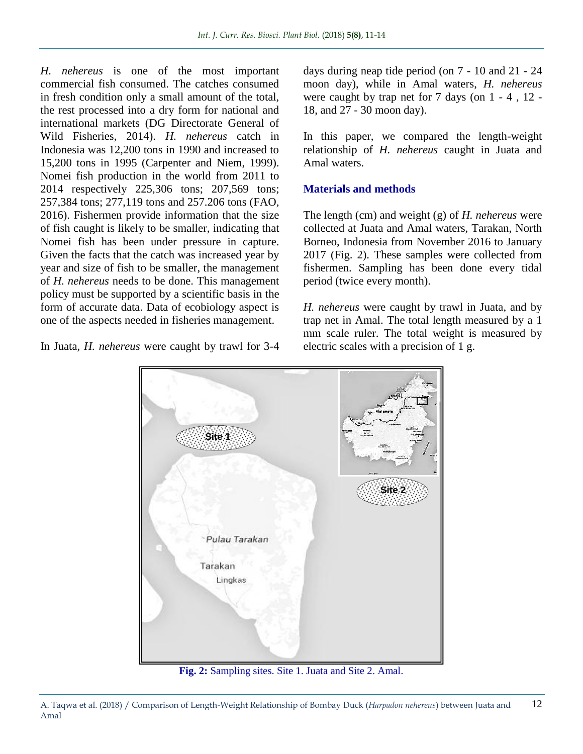*H. nehereus* is one of the most important commercial fish consumed. The catches consumed in fresh condition only a small amount of the total, the rest processed into a dry form for national and international markets (DG Directorate General of Wild Fisheries, 2014). *H. nehereus* catch in Indonesia was 12,200 tons in 1990 and increased to 15,200 tons in 1995 (Carpenter and Niem, 1999). Nomei fish production in the world from 2011 to 2014 respectively 225,306 tons; 207,569 tons; 257,384 tons; 277,119 tons and 257.206 tons (FAO, 2016). Fishermen provide information that the size of fish caught is likely to be smaller, indicating that Nomei fish has been under pressure in capture. Given the facts that the catch was increased year by year and size of fish to be smaller, the management of *H. nehereus* needs to be done. This management policy must be supported by a scientific basis in the form of accurate data. Data of ecobiology aspect is one of the aspects needed in fisheries management.

In Juata, *H. nehereus* were caught by trawl for 3-4

days during neap tide period (on 7 - 10 and 21 - 24 moon day), while in Amal waters, *H. nehereus* were caught by trap net for 7 days (on 1 - 4 , 12 - 18, and 27 - 30 moon day).

In this paper, we compared the length-weight relationship of *H. nehereus* caught in Juata and Amal waters.

## **Materials and methods**

The length (cm) and weight (g) of *H. nehereus* were collected at Juata and Amal waters, Tarakan, North Borneo, Indonesia from November 2016 to January 2017 (Fig. 2). These samples were collected from fishermen. Sampling has been done every tidal period (twice every month).

*H. nehereus* were caught by trawl in Juata, and by trap net in Amal. The total length measured by a 1 mm scale ruler. The total weight is measured by electric scales with a precision of 1 g.



**Fig. 2:** Sampling sites. Site 1. Juata and Site 2. Amal.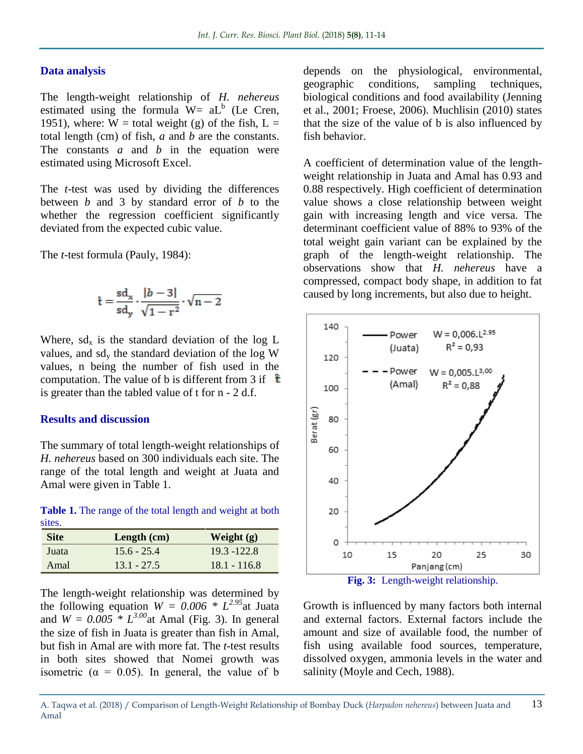### **Data analysis**

The length-weight relationship of *H. nehereus*  estimated using the formula  $W= aL<sup>b</sup>$  (Le Cren, 1951), where:  $W =$  total weight (g) of the fish,  $L =$ total length (cm) of fish, *a* and *b* are the constants. The constants *a* and *b* in the equation were estimated using Microsoft Excel.

The *t*-test was used by dividing the differences between *b* and 3 by standard error of *b* to the whether the regression coefficient significantly deviated from the expected cubic value.

The *t*-test formula (Pauly, 1984):

$$
\hat{\mathbf{t}} = \frac{\mathbf{sd}_{\mathbf{x}}}{\mathbf{sd}_{\mathbf{y}}} \cdot \frac{|b-3|}{\sqrt{1-\mathbf{r}^2}} \cdot \sqrt{\mathbf{n} - 2}
$$

Where,  $sd_x$  is the standard deviation of the log L values, and  $sd_v$  the standard deviation of the log W values, n being the number of fish used in the computation. The value of b is different from 3 if  $\hat{t}$ is greater than the tabled value of t for n - 2 d.f.

#### **Results and discussion**

The summary of total length-weight relationships of *H. nehereus* based on 300 individuals each site. The range of the total length and weight at Juata and Amal were given in Table 1.

Table 1. The range of the total length and weight at both sites.

| <b>Site</b> | Length $(cm)$ | Weight $(g)$   |
|-------------|---------------|----------------|
| Juata       | $15.6 - 25.4$ | $19.3 - 122.8$ |
| Amal        | $13.1 - 27.5$ | $18.1 - 116.8$ |

The length-weight relationship was determined by the following equation  $W = 0.006 * L^{2.95}$ at Juata and  $W = 0.005 \times L^{3.00}$  at Amal (Fig. 3). In general the size of fish in Juata is greater than fish in Amal, but fish in Amal are with more fat. The *t*-test results in both sites showed that Nomei growth was isometric ( $\alpha = 0.05$ ). In general, the value of b

depends on the physiological, environmental, geographic conditions, sampling techniques, biological conditions and food availability (Jenning et al., 2001; Froese, 2006). Muchlisin (2010) states that the size of the value of b is also influenced by fish behavior.

A coefficient of determination value of the lengthweight relationship in Juata and Amal has 0.93 and 0.88 respectively. High coefficient of determination value shows a close relationship between weight gain with increasing length and vice versa. The determinant coefficient value of 88% to 93% of the total weight gain variant can be explained by the graph of the length-weight relationship. The observations show that *H. nehereus* have a compressed, compact body shape, in addition to fat caused by long increments, but also due to height.



Growth is influenced by many factors both internal and external factors. External factors include the amount and size of available food, the number of fish using available food sources, temperature, dissolved oxygen, ammonia levels in the water and salinity (Moyle and Cech, 1988).